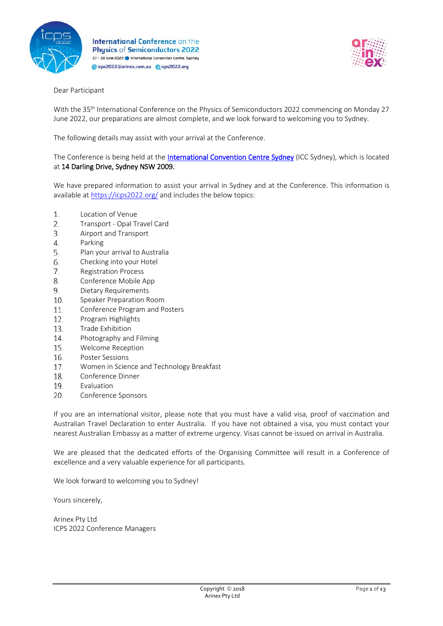



# Dear Participant

With the 35<sup>th</sup> International Conference on the Physics of Semiconductors 2022 commencing on Monday 27 June 2022, our preparations are almost complete, and we look forward to welcoming you to Sydney.

The following details may assist with your arrival at the Conference.

The Conference is being held at the *International Convention Centre Sydney* (ICC Sydney), which is located at 14 Darling Drive, Sydney NSW 2009.

We have prepared information to assist your arrival in Sydney and at the Conference. This information is available at<https://icps2022.org/> and includes the below topics:

- 1. [Location of Venue](#page-1-0)
- $2.$ Transport - [Opal Travel Card](#page-1-1)
- $\overline{3}$ . [Airport and Transport](#page-2-0)
- $\overline{4}$ . [Parking](#page-3-0)
- 5. Plan your [arrival to Australia](#page-4-0)
- 6. [Checking into your Hotel](#page-5-0)
- 7. [Registration Process](#page-5-1)
- 8. [Conference Mobile App](#page-6-0)
- 9. [Dietary Requirements](#page-6-1)
- 10. [Speaker Preparation Room](#page-6-2)
- [Conference Program and Posters](#page-7-0) 11.
- 12. [Program Highlights](#page-7-1)
- 13. [Trade Exhibition](#page-8-0)
- 14. [Photography and Filming](#page-9-0)
- 15. [Welcome Reception](#page-9-1)
- 16. [Poster Sessions](#page-9-2)
- 17. [Women in Science and Technology Breakfast](#page-9-3)
- 18. [Conference Dinner](#page-9-4)
- 19. [Evaluation](#page-10-0)
- [Conference Sponsors](#page-10-1) 20.

If you are an international visitor, please note that you must have a valid visa, proof of vaccination and Australian Travel Declaration to enter Australia. If you have not obtained a visa, you must contact your nearest Australian Embassy as a matter of extreme urgency. Visas cannot be issued on arrival in Australia.

We are pleased that the dedicated efforts of the Organising Committee will result in a Conference of excellence and a very valuable experience for all participants.

We look forward to welcoming you to Sydney!

Yours sincerely,

Arinex Pty Ltd ICPS 2022 Conference Managers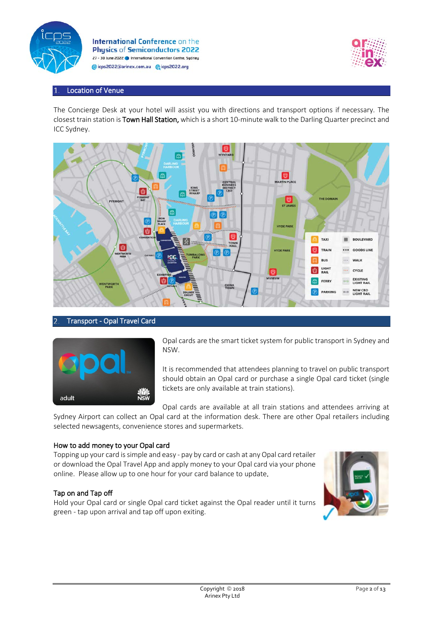



# <span id="page-1-0"></span>Location of Venue

The Concierge Desk at your hotel will assist you with directions and transport options if necessary. The closest train station is Town Hall Station, which is a short 10-minute walk to the Darling Quarter precinct and ICC Sydney.



# <span id="page-1-1"></span>Transport - Opal Travel Card



Opal cards are the smart ticket system for public transport in Sydney and NSW.

It is recommended that attendees planning to travel on public transport should obtain an Opal card or purchase a single Opal card ticket (single tickets are only available at train stations).

Opal cards are available at all train stations and attendees arriving at

Sydney Airport can collect an Opal card at the information desk. There are other Opal retailers including selected newsagents, convenience stores and supermarkets.

### How to add money to your Opal card

Topping up your card is simple and easy - pay by card or cash at any Opal card retailer or download the Opal Travel App and apply money to your Opal card via your phone online. Please allow up to one hour for your card balance to update.

### Tap on and Tap off

Hold your Opal card or single Opal card ticket against the Opal reader until it turns green - tap upon arrival and tap off upon exiting.

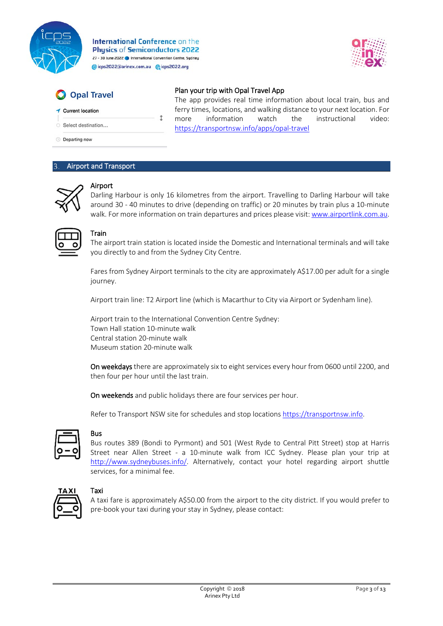

ţ



# Opal Travel

### Plan your trip with Opal Travel App

The app provides real time information about local train, bus and ferry times, locations, and walking distance to your next location. For more information watch the instructional video:

Current location

Select destination...

**Departing now** 

# <span id="page-2-0"></span>Airport and Transport



# Airport

Darling Harbour is only 16 kilometres from the airport. Travelling to Darling Harbour will take around 30 - 40 minutes to drive (depending on traffic) or 20 minutes by train plus a 10-minute walk. For more information on train departures and prices please visit: [www.airportlink.com.au.](http://www.airportlink.com.au/)

<https://transportnsw.info/apps/opal-travel>

# **Train**

The airport train station is located inside the Domestic and International terminals and will take you directly to and from the Sydney City Centre.

Fares from Sydney Airport terminals to the city are approximately A\$17.00 per adult for a single journey.

Airport train line: T2 Airport line (which is Macarthur to City via Airport or Sydenham line).

Airport train to the International Convention Centre Sydney: Town Hall station 10-minute walk Central station 20-minute walk Museum station 20-minute walk

On weekdays there are approximately six to eight services every hour from 0600 until 2200, and then four per hour until the last train.

On weekends and public holidays there are four services per hour.

Refer to Transport NSW site for schedules and stop locations [https://transportnsw.info.](https://transportnsw.info/)

# Bus

Bus routes 389 (Bondi to Pyrmont) and 501 (West Ryde to Central Pitt Street) stop at Harris Street near Allen Street - a 10-minute walk from ICC Sydney. Please plan your trip at [http://www.sydneybuses.info/.](http://www.sydneybuses.info/) Alternatively, contact your hotel regarding airport shuttle services, for a minimal fee.



# Taxi

A taxi fare is approximately A\$50.00 from the airport to the city district. If you would prefer to pre-book your taxi during your stay in Sydney, please contact: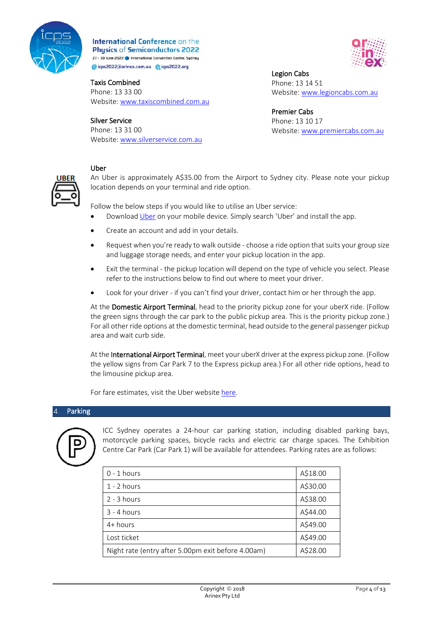

# Taxis Combined

Phone: 13 33 00 Website: [www.taxiscombined.com.au](http://www.taxiscombined.com.au/)

# Silver Service

Phone: 13 31 00 Website[: www.silverservice.com.au](http://www.silverservice.com.au/)



Legion Cabs Phone: 13 14 51 Website: [www.legioncabs.com.au](http://www.legioncabs.com.au/)

Premier Cabs Phone: 13 10 17 Website: [www.premiercabs.com.au](http://www.premiercabs.com.au/)



### Uber

An Uber is approximately A\$35.00 from the Airport to Sydney city. Please note your pickup location depends on your terminal and ride option.

Follow the below steps if you would like to utilise an Uber service:

- Download [Uber](https://www.uber.com/en-AU/) on your mobile device. Simply search 'Uber' and install the app.
- Create an account and add in your details.
- Request when you're ready to walk outside choose a ride option that suits your group size and luggage storage needs, and enter your pickup location in the app.
- Exit the terminal the pickup location will depend on the type of vehicle you select. Please refer to the instructions below to find out where to meet your driver.
- Look for your driver if you can't find your driver, contact him or her through the app.

At the Domestic Airport Terminal, head to the priority pickup zone for your uberX ride. (Follow the green signs through the car park to the public pickup area. This is the priority pickup zone.) For all other ride options at the domestic terminal, head outside to the general passenger pickup area and wait curb side.

At the International Airport Terminal, meet your uberX driver at the express pickup zone. (Follow the yellow signs from Car Park 7 to the Express pickup area.) For all other ride options, head to the limousine pickup area.

For fare estimates, visit the Uber websit[e here.](https://www.uber.com/en-AU/)

# <span id="page-3-0"></span>Parking



ICC Sydney operates a 24-hour car parking station, including disabled parking bays, motorcycle parking spaces, bicycle racks and electric car charge spaces. The Exhibition Centre Car Park (Car Park 1) will be available for attendees. Parking rates are as follows:

| $0 - 1$ hours                                      | A\$18.00 |
|----------------------------------------------------|----------|
| $1 - 2$ hours                                      | A\$30.00 |
| $2 - 3$ hours                                      | A\$38.00 |
| $3 - 4$ hours                                      | A\$44.00 |
| $4+ hours$                                         | A\$49.00 |
| Lost ticket                                        | A\$49.00 |
| Night rate (entry after 5.00pm exit before 4.00am) | A\$28.00 |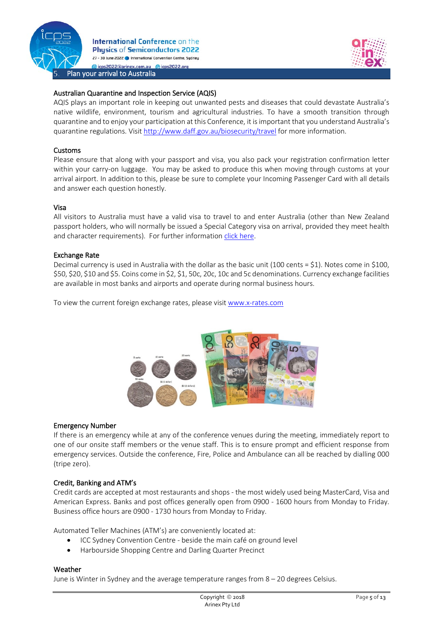



### <span id="page-4-0"></span>Australian Quarantine and Inspection Service (AQIS)

AQIS plays an important role in keeping out unwanted pests and diseases that could devastate Australia's native wildlife, environment, tourism and agricultural industries. To have a smooth transition through quarantine and to enjoy your participation at this Conference, it is important that you understand Australia's quarantine regulations. Visit<http://www.daff.gov.au/biosecurity/travel> for more information.

#### Customs

Please ensure that along with your passport and visa, you also pack your registration confirmation letter within your carry-on luggage. You may be asked to produce this when moving through customs at your arrival airport. In addition to this, please be sure to complete your Incoming Passenger Card with all details and answer each question honestly.

#### Visa

All visitors to Australia must have a valid visa to travel to and enter Australia (other than New Zealand passport holders, who will normally be issued a Special Category visa on arrival, provided they meet health and character requirements). For further informatio[n click here.](https://visaguide.world/australia-visa/)

#### Exchange Rate

Decimal currency is used in Australia with the dollar as the basic unit (100 cents = \$1). Notes come in \$100, \$50, \$20, \$10 and \$5. Coins come in \$2, \$1, 50c, 20c, 10c and 5c denominations. Currency exchange facilities are available in most banks and airports and operate during normal business hours.

To view the current foreign exchange rates, please visi[t www.x-rates.com](http://www.x-rates.com/)



#### Emergency Number

If there is an emergency while at any of the conference venues during the meeting, immediately report to one of our onsite staff members or the venue staff. This is to ensure prompt and efficient response from emergency services. Outside the conference, Fire, Police and Ambulance can all be reached by dialling 000 (tripe zero).

### Credit, Banking and ATM's

Credit cards are accepted at most restaurants and shops - the most widely used being MasterCard, Visa and American Express. Banks and post offices generally open from 0900 - 1600 hours from Monday to Friday. Business office hours are 0900 - 1730 hours from Monday to Friday.

Automated Teller Machines (ATM's) are conveniently located at:

- ICC Sydney Convention Centre beside the main café on ground level
- Harbourside Shopping Centre and Darling Quarter Precinct

#### Weather

June is Winter in Sydney and the average temperature ranges from 8 – 20 degrees Celsius.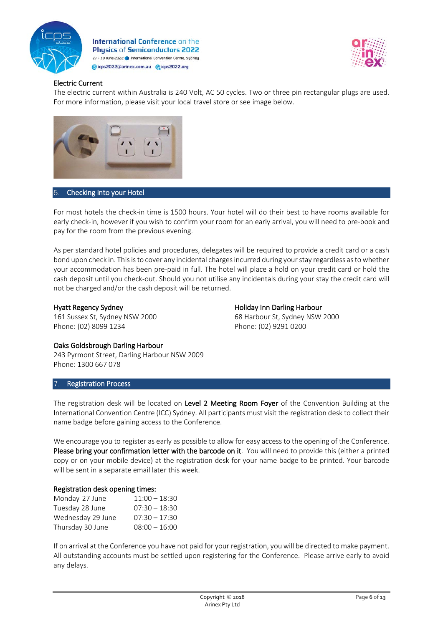



# Electric Current

The electric current within Australia is 240 Volt, AC 50 cycles. Two or three pin rectangular plugs are used. For more information, please visit your local travel store or see image below.



#### <span id="page-5-0"></span>Checking into your Hotel 6.

For most hotels the check-in time is 1500 hours. Your hotel will do their best to have rooms available for early check-in, however if you wish to confirm your room for an early arrival, you will need to pre-book and pay for the room from the previous evening.

As per standard hotel policies and procedures, delegates will be required to provide a credit card or a cash bond upon check in. This is to cover any incidental charges incurred during your stay regardless as to whether your accommodation has been pre-paid in full. The hotel will place a hold on your credit card or hold the cash deposit until you check-out. Should you not utilise any incidentals during your stay the credit card will not be charged and/or the cash deposit will be returned.

### Hyatt Regency Sydney

161 Sussex St, Sydney NSW 2000 Phone: (02) 8099 1234

Holiday Inn Darling Harbour 68 Harbour St, Sydney NSW 2000 Phone: (02) 9291 0200

### Oaks Goldsbrough Darling Harbour

243 Pyrmont Street, Darling Harbour NSW 2009 Phone: 1300 667 078

### <span id="page-5-1"></span>Registration Process

The registration desk will be located on Level 2 Meeting Room Foyer of the Convention Building at the International Convention Centre (ICC) Sydney. All participants must visit the registration desk to collect their name badge before gaining access to the Conference.

We encourage you to register as early as possible to allow for easy access to the opening of the Conference. Please bring your confirmation letter with the barcode on it. You will need to provide this (either a printed copy or on your mobile device) at the registration desk for your name badge to be printed. Your barcode will be sent in a separate email later this week.

### Registration desk opening times:

| Monday 27 June    | $11:00 - 18:30$ |
|-------------------|-----------------|
| Tuesday 28 June   | $07:30 - 18:30$ |
| Wednesday 29 June | $07:30 - 17:30$ |
| Thursday 30 June  | $08:00 - 16:00$ |

If on arrival at the Conference you have not paid for your registration, you will be directed to make payment. All outstanding accounts must be settled upon registering for the Conference. Please arrive early to avoid any delays.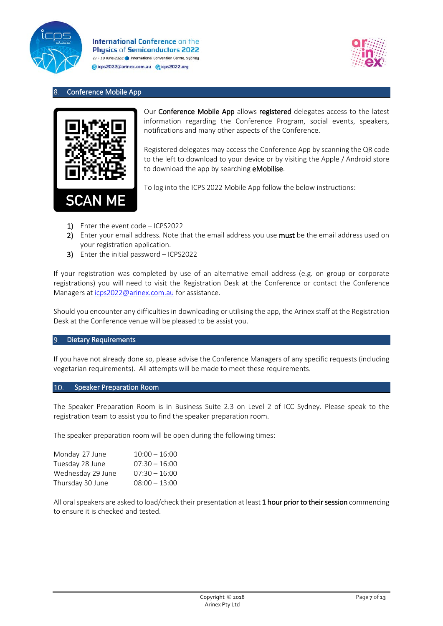



# <span id="page-6-0"></span>Conference Mobile App



Our Conference Mobile App allows registered delegates access to the latest information regarding the Conference Program, social events, speakers, notifications and many other aspects of the Conference.

Registered delegates may access the Conference App by scanning the QR code to the left to download to your device or by visiting the Apple / Android store to download the app by searching **eMobilise**.

To log into the ICPS 2022 Mobile App follow the below instructions:

- 1) Enter the event code ICPS2022
- 2) Enter your email address. Note that the email address you use must be the email address used on your registration application.
- 3) Enter the initial password ICPS2022

If your registration was completed by use of an alternative email address (e.g. on group or corporate registrations) you will need to visit the Registration Desk at the Conference or contact the Conference Managers at [icps2022@arinex.com.au](mailto:icps2022@arinex.com.au) for assistance.

Should you encounter any difficulties in downloading or utilising the app, the Arinex staff at the Registration Desk at the Conference venue will be pleased to be assist you.

#### <span id="page-6-1"></span>Dietary Requirements  $\mathsf{q}$

If you have not already done so, please advise the Conference Managers of any specific requests (including vegetarian requirements). All attempts will be made to meet these requirements.

#### <span id="page-6-2"></span>10. Speaker Preparation Room

The Speaker Preparation Room is in Business Suite 2.3 on Level 2 of ICC Sydney. Please speak to the registration team to assist you to find the speaker preparation room.

The speaker preparation room will be open during the following times:

| $10:00 - 16:00$ |
|-----------------|
| $07:30 - 16:00$ |
| $07:30 - 16:00$ |
| $08:00 - 13:00$ |
|                 |

All oral speakers are asked to load/check their presentation at least 1 hour prior to their session commencing to ensure it is checked and tested.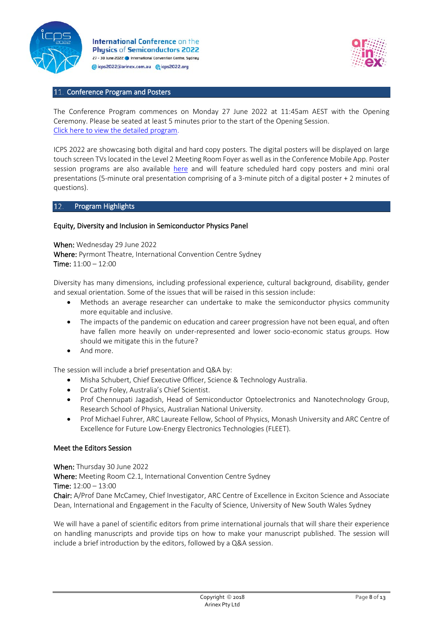



### <span id="page-7-0"></span>11. Conference Program and Posters

The Conference Program commences on Monday 27 June 2022 at 11:45am AEST with the Opening Ceremony. Please be seated at least 5 minutes prior to the start of the Opening Session. [Click here to view the detailed program.](https://icps2022.org/program/)

ICPS 2022 are showcasing both digital and hard copy posters. The digital posters will be displayed on large touch screen TVslocated in the Level 2 Meeting Room Foyer as well as in the Conference Mobile App. Poster session programs are also available [here](https://icps2022.org/program/) and will feature scheduled hard copy posters and mini oral presentations (5-minute oral presentation comprising of a 3-minute pitch of a digital poster + 2 minutes of questions).

#### <span id="page-7-1"></span>Program Highlights 12.

### Equity, Diversity and Inclusion in Semiconductor Physics Panel

When: Wednesday 29 June 2022 Where: Pyrmont Theatre, International Convention Centre Sydney Time: 11:00 – 12:00

Diversity has many dimensions, including professional experience, cultural background, disability, gender and sexual orientation. Some of the issues that will be raised in this session include:

- Methods an average researcher can undertake to make the semiconductor physics community more equitable and inclusive.
- The impacts of the pandemic on education and career progression have not been equal, and often have fallen more heavily on under-represented and lower socio-economic status groups. How should we mitigate this in the future?
- And more.

The session will include a brief presentation and Q&A by:

- Misha Schubert, Chief Executive Officer, Science & Technology Australia.
- Dr Cathy Foley, Australia's Chief Scientist.
- Prof Chennupati Jagadish, Head of Semiconductor Optoelectronics and Nanotechnology Group, Research School of Physics, Australian National University.
- Prof Michael Fuhrer, ARC Laureate Fellow, School of Physics, Monash University and ARC Centre of Excellence for Future Low-Energy Electronics Technologies (FLEET).

#### Meet the Editors Session

When: Thursday 30 June 2022 Where: Meeting Room C2.1, International Convention Centre Sydney Time: 12:00 – 13:00

Chair: A/Prof Dane McCamey, Chief Investigator, ARC Centre of Excellence in Exciton Science and Associate Dean, International and Engagement in the Faculty of Science, University of New South Wales Sydney

We will have a panel of scientific editors from prime international journals that will share their experience on handling manuscripts and provide tips on how to make your manuscript published. The session will include a brief introduction by the editors, followed by a Q&A session.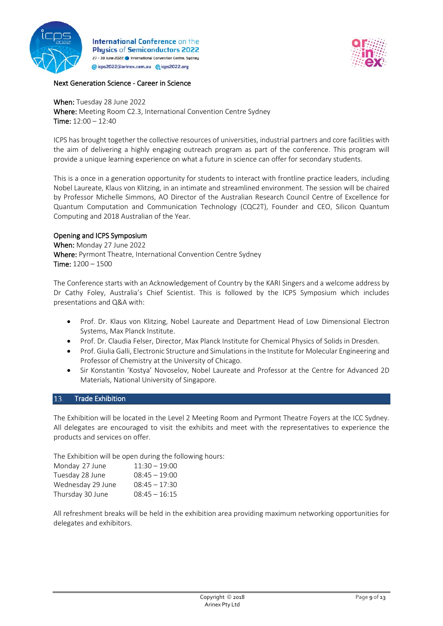



### Next Generation Science - Career in Science

When: Tuesday 28 June 2022 Where: Meeting Room C2.3, International Convention Centre Sydney Time: 12:00 – 12:40

ICPS has brought together the collective resources of universities, industrial partners and core facilities with the aim of delivering a highly engaging outreach program as part of the conference. This program will provide a unique learning experience on what a future in science can offer for secondary students.

This is a once in a generation opportunity for students to interact with frontline practice leaders, including Nobel Laureate, Klaus von Klitzing, in an intimate and streamlined environment. The session will be chaired by Professor Michelle Simmons, AO Director of the Australian Research Council Centre of Excellence for Quantum Computation and Communication Technology (CQC2T), Founder and CEO, Silicon Quantum Computing and 2018 Australian of the Year.

# Opening and ICPS Symposium

When: Monday 27 June 2022 Where: Pyrmont Theatre, International Convention Centre Sydney Time: 1200 – 1500

The Conference starts with an Acknowledgement of Country by the KARI Singers and a welcome address by Dr Cathy Foley, Australia's Chief Scientist. This is followed by the ICPS Symposium which includes presentations and Q&A with:

- Prof. Dr. Klaus von Klitzing, Nobel Laureate and Department Head of Low Dimensional Electron Systems, Max Planck Institute.
- Prof. Dr. Claudia Felser, Director, Max Planck Institute for Chemical Physics of Solids in Dresden.
- Prof. Giulia Galli, Electronic Structure and Simulations in the Institute for Molecular Engineering and Professor of Chemistry at the University of Chicago.
- Sir Konstantin 'Kostya' Novoselov, Nobel Laureate and Professor at the Centre for Advanced 2D Materials, National University of Singapore.

# <span id="page-8-0"></span>13. Trade Exhibition

The Exhibition will be located in the Level 2 Meeting Room and Pyrmont Theatre Foyers at the ICC Sydney. All delegates are encouraged to visit the exhibits and meet with the representatives to experience the products and services on offer.

The Exhibition will be open during the following hours:

| $11:30 - 19:00$ |
|-----------------|
| $08:45 - 19:00$ |
| $08:45 - 17:30$ |
| $08:45 - 16:15$ |
|                 |

All refreshment breaks will be held in the exhibition area providing maximum networking opportunities for delegates and exhibitors.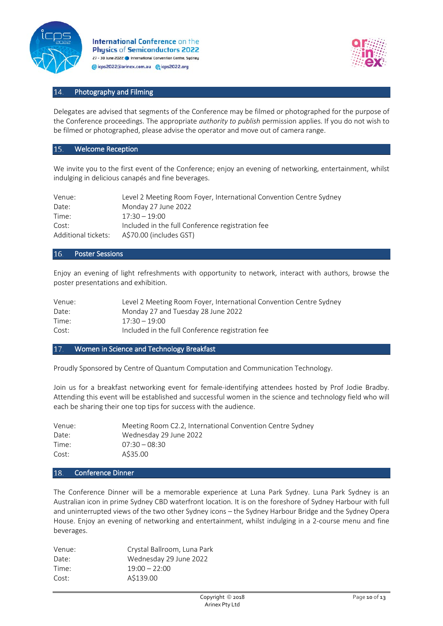



#### <span id="page-9-0"></span>14. Photography and Filming

Delegates are advised that segments of the Conference may be filmed or photographed for the purpose of the Conference proceedings. The appropriate *authority to publish* permission applies. If you do not wish to be filmed or photographed, please advise the operator and move out of camera range.

#### <span id="page-9-1"></span>15. Welcome Reception

We invite you to the first event of the Conference; enjoy an evening of networking, entertainment, whilst indulging in delicious canapés and fine beverages.

| Venue:              | Level 2 Meeting Room Foyer, International Convention Centre Sydney |
|---------------------|--------------------------------------------------------------------|
| Date:               | Monday 27 June 2022                                                |
| Time:               | $17:30 - 19:00$                                                    |
| Cost:               | Included in the full Conference registration fee                   |
| Additional tickets: | A\$70.00 (includes GST)                                            |

#### <span id="page-9-2"></span>16. Poster Sessions

Enjoy an evening of light refreshments with opportunity to network, interact with authors, browse the poster presentations and exhibition.

| Venue: | Level 2 Meeting Room Foyer, International Convention Centre Sydney |
|--------|--------------------------------------------------------------------|
| Date:  | Monday 27 and Tuesday 28 June 2022                                 |
| Time:  | 17:30 – 19:00                                                      |
| Cost:  | Included in the full Conference registration fee                   |

#### <span id="page-9-3"></span>17. Women in Science and Technology Breakfast

Proudly Sponsored by Centre of Quantum Computation and Communication Technology.

Join us for a breakfast networking event for female-identifying attendees hosted by Prof Jodie Bradby. Attending this event will be established and successful women in the science and technology field who will each be sharing their one top tips for success with the audience.

| Venue: | Meeting Room C2.2, International Convention Centre Sydney |
|--------|-----------------------------------------------------------|
| Date:  | Wednesday 29 June 2022                                    |
| Time:  | $07:30 - 08:30$                                           |
| Cost:  | A\$35.00                                                  |

#### <span id="page-9-4"></span>18. Conference Dinner

The Conference Dinner will be a memorable experience at Luna Park Sydney. Luna Park Sydney is an Australian icon in prime Sydney CBD waterfront location. It is on the foreshore of Sydney Harbour with full and uninterrupted views of the two other Sydney icons – the Sydney Harbour Bridge and the Sydney Opera House. Enjoy an evening of networking and entertainment, whilst indulging in a 2-course menu and fine beverages.

| Crystal Ballroom, Luna Park |
|-----------------------------|
| Wednesday 29 June 2022      |
| $19:00 - 22:00$             |
| A\$139.00                   |
|                             |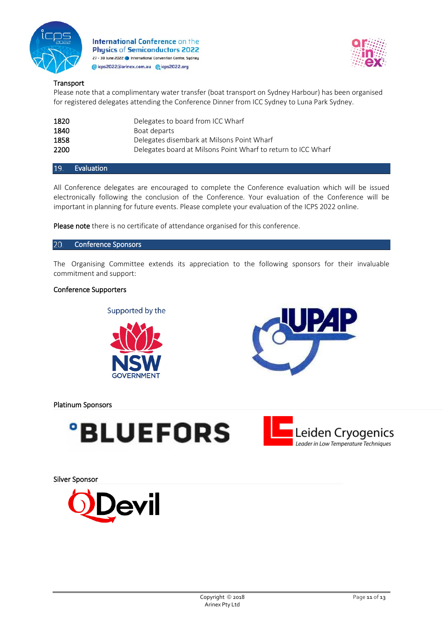



# **Transport**

Please note that a complimentary water transfer (boat transport on Sydney Harbour) has been organised for registered delegates attending the Conference Dinner from ICC Sydney to Luna Park Sydney.

| 1820 | Delegates to board from ICC Wharf                             |
|------|---------------------------------------------------------------|
| 1840 | Boat departs                                                  |
| 1858 | Delegates disembark at Milsons Point Wharf                    |
| 2200 | Delegates board at Milsons Point Wharf to return to ICC Wharf |

<span id="page-10-0"></span>**Evaluation** 19.

All Conference delegates are encouraged to complete the Conference evaluation which will be issued electronically following the conclusion of the Conference. Your evaluation of the Conference will be important in planning for future events. Please complete your evaluation of the ICPS 2022 online.

<span id="page-10-1"></span>Please note there is no certificate of attendance organised for this conference.

#### $20.$ Conference Sponsors

The Organising Committee extends its appreciation to the following sponsors for their invaluable commitment and support:

### Conference Supporters

Supported by the





Platinum Sponsors





Silver Sponsor

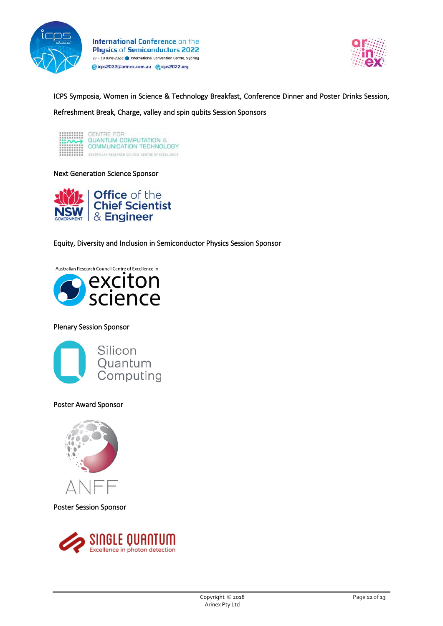



ICPS Symposia, Women in Science & Technology Breakfast, Conference Dinner and Poster Drinks Session, Refreshment Break, Charge, valley and spin qubits Session Sponsors

| ***********<br>$\cdots$<br><br>********** | CENTRE FOR<br>QUANTUM COMPUTATION &<br>COMMUNICATION TECHNOLOGY |
|-------------------------------------------|-----------------------------------------------------------------|
|                                           | AUSTRALIAN RESEARCH COUNCIL CENTRE OF EXCELLENCE.               |

#### Next Generation Science Sponsor



Equity, Diversity and Inclusion in Semiconductor Physics Session Sponsor

Australian Research Council Centre of Excellence in



### Plenary Session Sponsor



### Poster Award Sponsor



Poster Session Sponsor